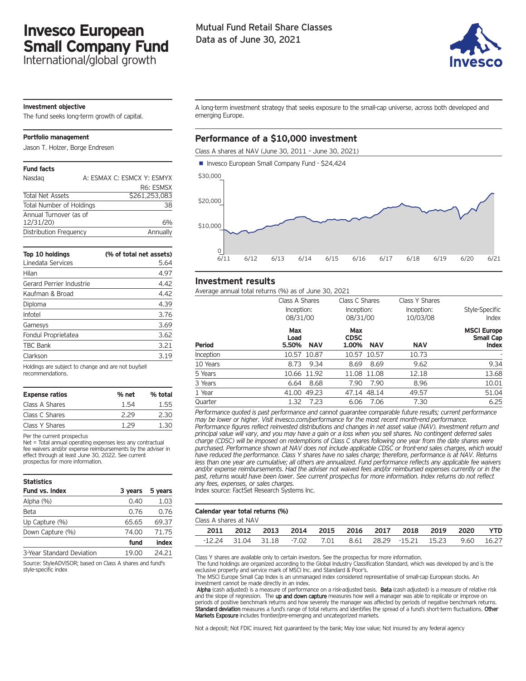# **Invesco European Small Company Fund**

International/global growth

# Mutual Fund Retail Share Classes Data as of June 30, 2021



#### **Investment objective**

The fund seeks long-term growth of capital.

#### **Portfolio management**

Jason T. Holzer, Borge Endresen

#### **Fund facts**

| Nasdag                          | A: ESMAX C: ESMCX Y: ESMYX |
|---------------------------------|----------------------------|
|                                 | R <sub>6</sub> : ESMSX     |
| <b>Total Net Assets</b>         | \$261,253,083              |
| <b>Total Number of Holdings</b> | 38                         |
| Annual Turnover (as of          |                            |
| 12/31/20)                       | 6%                         |
| Distribution Frequency          | Annually                   |

| Top 10 holdings              | (% of total net assets) |
|------------------------------|-------------------------|
| Linedata Services            | 5.64                    |
| Hilan                        | 4.97                    |
| Gerard Perrier Industrie     | 4.42                    |
| Kaufman & Broad              | 4.42                    |
| Diploma                      | 4.39                    |
| Infotel                      | 3.76                    |
| Gamesys                      | 3.69                    |
| Fondul Proprietatea          | 3.62                    |
| <b>TBC Bank</b>              | 3.21                    |
| Clarkson                     | 3.19                    |
| .<br>$\cdots$<br>.<br>$\sim$ | .                       |

Holdings are subject to change and are not buy/sell recommendations.

| <b>Expense ratios</b> | % net | % total |
|-----------------------|-------|---------|
| Class A Shares        | 1.54  | 1.55    |
| Class C Shares        | 229   | 2.30    |
| Class Y Shares        | 1 29  | 1.30    |

Per the current prospectus

Net = Total annual operating expenses less any contractual fee waivers and/or expense reimbursements by the adviser in effect through at least June 30, 2022. See current prospectus for more information.

| <b>Statistics</b>         |         |         |
|---------------------------|---------|---------|
| Fund vs. Index            | 3 years | 5 years |
| Alpha (%)                 | 0.40    | 1.03    |
| Beta                      | 0.76    | 0.76    |
| Up Capture (%)            | 65.65   | 69.37   |
| Down Capture (%)          | 74.00   | 71.75   |
|                           | fund    | index   |
| 3-Year Standard Deviation | 19.00   | 24.21   |

Source: StyleADVISOR; based on Class A shares and fund's style-specific index

A long-term investment strategy that seeks exposure to the small-cap universe, across both developed and emerging Europe.

# **Performance of a \$10,000 investment**

Class A shares at NAV (June 30, 2011 – June 30, 2021)



### **Investment results**

Average annual total returns (%) as of June 30, 2021

|               | Class A Shares<br>Inception:<br>08/31/00 | Class C Shares<br>Inception:<br>08/31/00  | Class Y Shares<br>Inception:<br>10/03/08 | Style-Specific<br>Index                  |
|---------------|------------------------------------------|-------------------------------------------|------------------------------------------|------------------------------------------|
| <b>Period</b> | Max<br>Load<br><b>NAV</b><br>5.50%       | Max<br><b>CDSC</b><br>1.00%<br><b>NAV</b> | <b>NAV</b>                               | <b>MSCI Europe</b><br>Small Cap<br>Index |
| Inception     | 10.87<br>10.57                           | 10.57 10.57                               | 10.73                                    |                                          |
| 10 Years      | 9.34<br>8.73                             | 8.69<br>8.69                              | 9.62                                     | 9.34                                     |
| 5 Years       | 10.66 11.92                              | 11.08 11.08                               | 12.18                                    | 13.68                                    |
| 3 Years       | 8.68<br>6.64                             | 7.90<br>7.90                              | 8.96                                     | 10.01                                    |
| 1 Year        | 49.23<br>41.00                           | 47.14 48.14                               | 49.57                                    | 51.04                                    |
| Quarter       | 7.23<br>1.32                             | 7.06<br>6.06                              | 7.30                                     | 6.25                                     |

*Performance quoted is past performance and cannot guarantee comparable future results; current performance may be lower or higher. Visit invesco.com/performance for the most recent month-end performance. Performance figures reflect reinvested distributions and changes in net asset value (NAV). Investment return and principal value will vary, and you may have a gain or a loss when you sell shares. No contingent deferred sales charge (CDSC) will be imposed on redemptions of Class C shares following one year from the date shares were purchased. Performance shown at NAV does not include applicable CDSC or front-end sales charges, which would have reduced the performance. Class Y shares have no sales charge; therefore, performance is at NAV. Returns less than one year are cumulative; all others are annualized. Fund performance reflects any applicable fee waivers and/or expense reimbursements. Had the adviser not waived fees and/or reimbursed expenses currently or in the past, returns would have been lower. See current prospectus for more information. Index returns do not reflect any fees, expenses, or sales charges.*

Index source: FactSet Research Systems Inc.

#### **Calendar year total returns (%)**

Class A shares at NAV

| Jass A shares at NAV |  |  |  |                                                                  |  |            |
|----------------------|--|--|--|------------------------------------------------------------------|--|------------|
| 2011                 |  |  |  | 2012 2013 2014 2015 2016 2017 2018 2019 2020                     |  | <b>YTD</b> |
|                      |  |  |  | -12.24 31.04 31.18 -7.02 7.01 8.61 28.29 -15.21 15.23 9.60 16.27 |  |            |

Class Y shares are available only to certain investors. See the prospectus for more information.

The fund holdings are organized according to the Global Industry Classification Standard, which was developed by and is the exclusive property and service mark of MSCI Inc. and Standard & Poor's.

The MSCI Europe Small Cap Index is an unmanaged index considered representative of small-cap European stocks. An investment cannot be made directly in an index.

Alpha (cash adjusted) is a measure of performance on a risk-adjusted basis. Beta (cash adjusted) is a measure of relative risk and the slope of regression. The up and down capture measures how well a manager was able to replicate or improve on periods of positive benchmark returns and how severely the manager was affected by periods of negative benchmark returns. Standard deviation measures a fund's range of total returns and identifies the spread of a fund's short-term fluctuations. Other Markets Exposure includes frontier/pre-emerging and uncategorized markets.

Not a deposit; Not FDIC insured; Not guaranteed by the bank; May lose value; Not insured by any federal agency